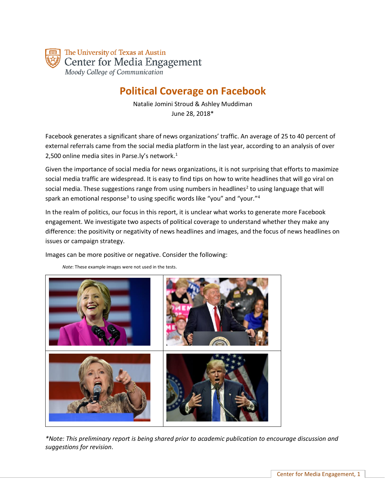

# **Political Coverage on Facebook**

Natalie Jomini Stroud & Ashley Muddiman June 28, 2018\*

Facebook generates a significant share of news organizations' traffic. An average of 25 to 40 percent of external referrals came from the social media platform in the last year, according to an analysis of over 2,500 online media sites in Parse.ly's network.<sup>1</sup>

Given the importance of social media for news organizations, it is not surprising that efforts to maximize social media traffic are widespread. It is easy to find tips on how to write headlines that will go viral on social media. These suggestions range from using numbers in headlines<sup>2</sup> to using language that will spark an emotional response<sup>3</sup> to using specific words like "you" and "your."<sup>4</sup>

In the realm of politics, our focus in this report, it is unclear what works to generate more Facebook engagement. We investigate two aspects of political coverage to understand whether they make any difference: the positivity or negativity of news headlines and images, and the focus of news headlines on issues or campaign strategy.

Images can be more positive or negative. Consider the following:

*Note*: These example images were not used in the tests.



*\*Note: This preliminary report is being shared prior to academic publication to encourage discussion and suggestions for revision.*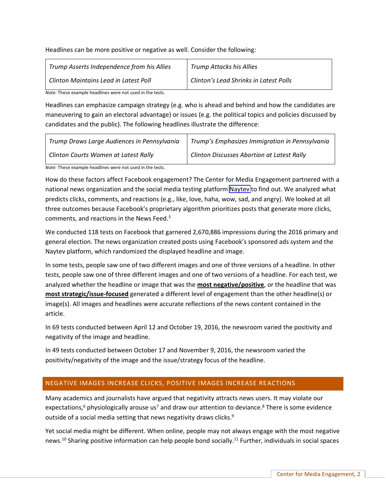Headlines can be more positive or negative as well. Consider the following:

| Trump Asserts Independence from his Allies | Trump Attacks his Allies               |
|--------------------------------------------|----------------------------------------|
| Clinton Maintains Lead in Latest Poll      | Clinton's Lead Shrinks in Latest Polls |

*Note:* These example headlines were not used in the tests.

Headlines can emphasize campaign strategy (e.g. who is ahead and behind and how the candidates are maneuvering to gain an electoral advantage) or issues (e.g. the political topics and policies discussed by candidates and the public). The following headlines illustrate the difference:

| Trump Draws Large Audiences in Pennsylvania | Trump's Emphasizes Immigration in Pennsylvania    |
|---------------------------------------------|---------------------------------------------------|
| Clinton Courts Women at Latest Rally        | <b>Clinton Discusses Abortion at Latest Rally</b> |

*Note:* These example headlines were not used in the tests.

How do these factors affect Facebook engagement? The Center for Media Engagement partnered with a national news organization and the social media testing platform [Naytev](http://www.naytev.com) to find out. We analyzed what predicts clicks, comments, and reactions (e.g., like, love, haha, wow, sad, and angry). We looked at all three outcomes because Facebook's proprietary algorithm prioritizes posts that generate more clicks, comments, and reactions in the News Feed.<sup>5</sup>

We conducted 118 tests on Facebook that garnered 2,670,886 impressions during the 2016 primary and general election. The news organization created posts using Facebook's sponsored ads system and the Naytev platform, which randomized the displayed headline and image.

In some tests, people saw one of two different images and one of three versions of a headline. In other tests, people saw one of three different images and one of two versions of a headline. For each test, we analyzed whether the headline or image that was the **most negative/positive**, or the headline that was **most strategic/issue-focused** generated a different level of engagement than the other headline(s) or image(s). All images and headlines were accurate reflections of the news content contained in the article.

In 69 tests conducted between April 12 and October 19, 2016, the newsroom varied the positivity and negativity of the image and headline.

In 49 tests conducted between October 17 and November 9, 2016, the newsroom varied the positivity/negativity of the image and the issue/strategy focus of the headline.

#### NEGATIVE IMAGES INCREASE CLICKS, POSITIVE IMAGES INCREASE REACTIONS

Many academics and journalists have argued that negativity attracts news users. It may violate our expectations,<sup>6</sup> physiologically arouse us<sup>7</sup> and draw our attention to deviance.<sup>8</sup> There is some evidence outside of a social media setting that news negativity draws clicks.<sup>9</sup>

Yet social media might be different. When online, people may not always engage with the most negative news.<sup>10</sup> Sharing positive information can help people bond socially.<sup>11</sup> Further, individuals in social spaces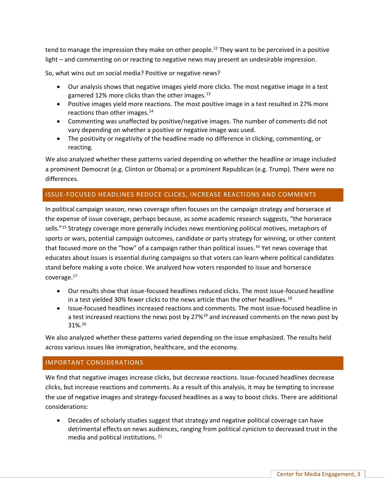tend to manage the impression they make on other people.<sup>12</sup> They want to be perceived in a positive light – and commenting on or reacting to negative news may present an undesirable impression.

So, what wins out on social media? Positive or negative news?

- Our analysis shows that negative images yield more clicks. The most negative image in a test garnered 12% more clicks than the other images.<sup>13</sup>
- Positive images yield more reactions. The most positive image in a test resulted in 27% more reactions than other images.<sup>14</sup>
- Commenting was unaffected by positive/negative images. The number of comments did not vary depending on whether a positive or negative image was used.
- The positivity or negativity of the headline made no difference in clicking, commenting, or reacting.

We also analyzed whether these patterns varied depending on whether the headline or image included a prominent Democrat (e.g. Clinton or Obama) or a prominent Republican (e.g. Trump). There were no differences.

## ISSUE-FOCUSED HEADLINES REDUCE CLICKS, INCREASE REACTIONS AND COMMENTS

In political campaign season, news coverage often focuses on the campaign strategy and horserace at the expense of issue coverage, perhaps because, as some academic research suggests, "the horserace sells."<sup>15</sup> Strategy coverage more generally includes news mentioning political motives, metaphors of sports or wars, potential campaign outcomes, candidate or party strategy for winning, or other content that focused more on the "how" of a campaign rather than political issues.<sup>16</sup> Yet news coverage that educates about issues is essential during campaigns so that voters can learn where political candidates stand before making a vote choice. We analyzed how voters responded to issue and horserace coverage.<sup>17</sup>

- Our results show that issue-focused headlines reduced clicks. The most issue-focused headline in a test yielded 30% fewer clicks to the news article than the other headlines.<sup>18</sup>
- Issue-focused headlines increased reactions and comments. The most issue-focused headline in a test increased reactions the news post by 27%<sup>19</sup> and increased comments on the news post by 31%.<sup>20</sup>

We also analyzed whether these patterns varied depending on the issue emphasized. The results held across various issues like immigration, healthcare, and the economy.

#### IMPORTANT CONSIDERATIONS

We find that negative images increase clicks, but decrease reactions. Issue-focused headlines decrease clicks, but increase reactions and comments. As a result of this analysis, it may be tempting to increase the use of negative images and strategy-focused headlines as a way to boost clicks. There are additional considerations:

• Decades of scholarly studies suggest that strategy and negative political coverage can have detrimental effects on news audiences, ranging from political cynicism to decreased trust in the media and political institutions. <sup>21</sup>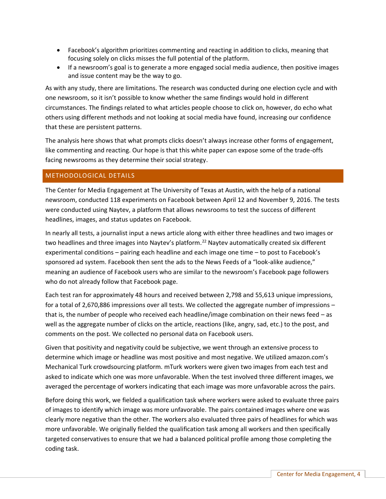- Facebook's algorithm prioritizes commenting and reacting in addition to clicks, meaning that focusing solely on clicks misses the full potential of the platform.
- If a newsroom's goal is to generate a more engaged social media audience, then positive images and issue content may be the way to go.

As with any study, there are limitations. The research was conducted during one election cycle and with one newsroom, so it isn't possible to know whether the same findings would hold in different circumstances. The findings related to what articles people choose to click on, however, do echo what others using different methods and not looking at social media have found, increasing our confidence that these are persistent patterns.

The analysis here shows that what prompts clicks doesn't always increase other forms of engagement, like commenting and reacting. Our hope is that this white paper can expose some of the trade-offs facing newsrooms as they determine their social strategy.

## METHODOLOGICAL DETAILS

The Center for Media Engagement at The University of Texas at Austin, with the help of a national newsroom, conducted 118 experiments on Facebook between April 12 and November 9, 2016. The tests were conducted using Naytev, a platform that allows newsrooms to test the success of different headlines, images, and status updates on Facebook.

In nearly all tests, a journalist input a news article along with either three headlines and two images or two headlines and three images into Naytev's platform.<sup>22</sup> Naytev automatically created six different experimental conditions – pairing each headline and each image one time – to post to Facebook's sponsored ad system. Facebook then sent the ads to the News Feeds of a "look-alike audience," meaning an audience of Facebook users who are similar to the newsroom's Facebook page followers who do not already follow that Facebook page.

Each test ran for approximately 48 hours and received between 2,798 and 55,613 unique impressions, for a total of 2,670,886 impressions over all tests. We collected the aggregate number of impressions – that is, the number of people who received each headline/image combination on their news feed – as well as the aggregate number of clicks on the article, reactions (like, angry, sad, etc.) to the post, and comments on the post. We collected no personal data on Facebook users.

Given that positivity and negativity could be subjective, we went through an extensive process to determine which image or headline was most positive and most negative. We utilized amazon.com's Mechanical Turk crowdsourcing platform. mTurk workers were given two images from each test and asked to indicate which one was more unfavorable. When the test involved three different images, we averaged the percentage of workers indicating that each image was more unfavorable across the pairs.

Before doing this work, we fielded a qualification task where workers were asked to evaluate three pairs of images to identify which image was more unfavorable. The pairs contained images where one was clearly more negative than the other. The workers also evaluated three pairs of headlines for which was more unfavorable. We originally fielded the qualification task among all workers and then specifically targeted conservatives to ensure that we had a balanced political profile among those completing the coding task.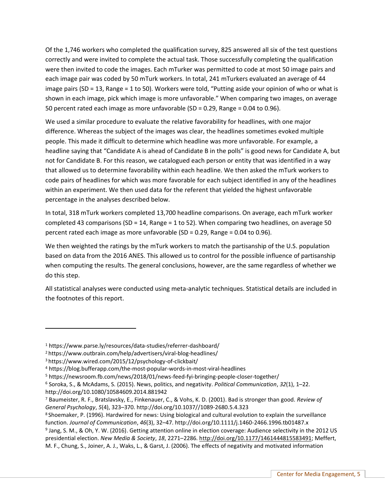Of the 1,746 workers who completed the qualification survey, 825 answered all six of the test questions correctly and were invited to complete the actual task. Those successfully completing the qualification were then invited to code the images. Each mTurker was permitted to code at most 50 image pairs and each image pair was coded by 50 mTurk workers. In total, 241 mTurkers evaluated an average of 44 image pairs (SD = 13, Range = 1 to 50). Workers were told, "Putting aside your opinion of who or what is shown in each image, pick which image is more unfavorable." When comparing two images, on average 50 percent rated each image as more unfavorable (SD = 0.29, Range = 0.04 to 0.96).

We used a similar procedure to evaluate the relative favorability for headlines, with one major difference. Whereas the subject of the images was clear, the headlines sometimes evoked multiple people. This made it difficult to determine which headline was more unfavorable. For example, a headline saying that "Candidate A is ahead of Candidate B in the polls" is good news for Candidate A, but not for Candidate B. For this reason, we catalogued each person or entity that was identified in a way that allowed us to determine favorability within each headline. We then asked the mTurk workers to code pairs of headlines for which was more favorable for each subject identified in any of the headlines within an experiment. We then used data for the referent that yielded the highest unfavorable percentage in the analyses described below.

In total, 318 mTurk workers completed 13,700 headline comparisons. On average, each mTurk worker completed 43 comparisons (SD = 14, Range = 1 to 52). When comparing two headlines, on average 50 percent rated each image as more unfavorable (SD = 0.29, Range = 0.04 to 0.96).

We then weighted the ratings by the mTurk workers to match the partisanship of the U.S. population based on data from the 2016 ANES. This allowed us to control for the possible influence of partisanship when computing the results. The general conclusions, however, are the same regardless of whether we do this step.

All statistical analyses were conducted using meta-analytic techniques. Statistical details are included in the footnotes of this report.

 $\overline{a}$ 

<sup>1</sup> https://www.parse.ly/resources/data-studies/referrer-dashboard/

<sup>2</sup>https://www.outbrain.com/help/advertisers/viral-blog-headlines/

<sup>3</sup>https://www.wired.com/2015/12/psychology-of-clickbait/

<sup>4</sup> https://blog.bufferapp.com/the-most-popular-words-in-most-viral-headlines

<sup>5</sup> https://newsroom.fb.com/news/2018/01/news-feed-fyi-bringing-people-closer-together/

<sup>6</sup> Soroka, S., & McAdams, S. (2015). News, politics, and negativity. *Political Communication*, *32*(1), 1–22. http://doi.org/10.1080/10584609.2014.881942

<sup>7</sup> Baumeister, R. F., Bratslavsky, E., Finkenauer, C., & Vohs, K. D. (2001). Bad is stronger than good. *Review of General Psychology*, *5*(4), 323–370. http://doi.org/10.1037//1089-2680.5.4.323

<sup>8</sup>Shoemaker, P. (1996). Hardwired for news: Using biological and cultural evolution to explain the surveillance function. *Journal of Communication*, *46*(3), 32–47. http://doi.org/10.1111/j.1460-2466.1996.tb01487.x

<sup>&</sup>lt;sup>9</sup> Jang, S. M., & Oh, Y. W. (2016). Getting attention online in election coverage: Audience selectivity in the 2012 US presidential election. *New Media & Society*, *18*, 2271–2286. [http://doi.org/10.1177/1461444815583491;](http://doi.org/10.1177/1461444815583491) Meffert, M. F., Chung, S., Joiner, A. J., Waks, L., & Garst, J. (2006). The effects of negativity and motivated information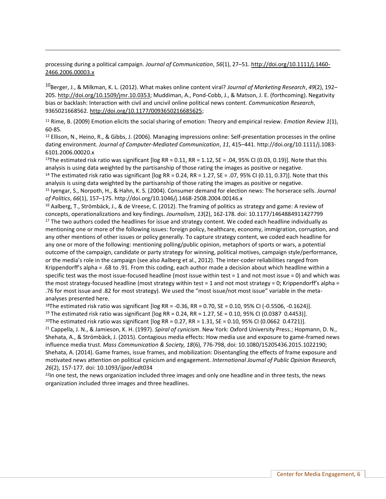processing during a political campaign. *Journal of Communication*, *56*(1), 27–51[. http://doi.org/10.1111/j.1460-](http://doi.org/10.1111/j.1460-2466.2006.00003.x) [2466.2006.00003.x](http://doi.org/10.1111/j.1460-2466.2006.00003.x)

l

<sup>10</sup>Berger, J., & Milkman, K. L. (2012). What makes online content viral? *Journal of Marketing Research*, *49*(2), 192– 205. [http://doi.org/10.1509/jmr.10.0353;](http://doi.org/10.1509/jmr.10.0353) Muddiman, A., Pond-Cobb, J., & Matson, J. E. (forthcoming). Negativity bias or backlash: Interaction with civil and uncivil online political news content. *Communication Research*, 9365021668562[. http://doi.org/10.1177/0093650216685625;](http://doi.org/10.1177/0093650216685625)

<sup>11</sup> Rime, B. (2009) Emotion elicits the social sharing of emotion: Theory and empirical review. *Emotion Review 1*(1), 60-85.

 $12$  Ellison, N., Heino, R., & Gibbs, J. (2006). Managing impressions online: Self-presentation processes in the online dating environment. *Journal of Computer-Mediated Communication*, *11*, 415–441. http://doi.org/10.1111/j.1083- 6101.2006.00020.x

<sup>13</sup>The estimated risk ratio was significant [log RR = 0.11, RR = 1.12, SE = .04, 95% CI (0.03, 0.19)]. Note that this analysis is using data weighted by the partisanship of those rating the images as positive or negative.

<sup>14</sup> The estimated risk ratio was significant [ $log RR = 0.24$ ,  $RR = 1.27$ ,  $SE = .07$ ,  $95\%$  CI (0.11, 0.37)]. Note that this analysis is using data weighted by the partisanship of those rating the images as positive or negative.

<sup>15</sup> Iyengar, S., Norpoth, H., & Hahn, K. S. (2004). Consumer demand for election news: The horserace sells. *Journal of Politics*, *66*(1), 157–175. http://doi.org/10.1046/j.1468-2508.2004.00146.x

<sup>16</sup> Aalberg, T., Strömbäck, J., & de Vreese, C. (2012). The framing of politics as strategy and game: A review of concepts, operationalizations and key findings. *Journalism, 13*(2), 162-178. doi: 10.1177/1464884911427799 <sup>17</sup> The two authors coded the headlines for issue and strategy content. We coded each headline individually as mentioning one or more of the following issues: foreign policy, healthcare, economy, immigration, corruption, and any other mentions of other issues or policy generally. To capture strategy content, we coded each headline for any one or more of the following: mentioning polling/public opinion, metaphors of sports or wars, a potential outcome of the campaign, candidate or party strategy for winning, political motives, campaign style/performance, or the media's role in the campaign (see also Aalberg et al., 2012). The inter-coder reliabilities ranged from Krippendorff's alpha = .68 to .91. From this coding, each author made a decision about which headline within a specific test was the most issue-focused headline (most issue within test = 1 and not most issue = 0) and which was the most strategy-focused headline (most strategy within test = 1 and not most strategy = 0; Krippendorff's alpha = .76 for most issue and .82 for most strategy). We used the "most issue/not most issue" variable in the metaanalyses presented here.

<sup>18</sup>The estimated risk ratio was significant [ $log RR = -0.36$ ,  $RR = 0.70$ ,  $SE = 0.10$ ,  $95\%$  CI (-0.5506, -0.1624)]. <sup>19</sup> The estimated risk ratio was significant [ $log RR = 0.24$ ,  $RR = 1.27$ ,  $SE = 0.10$ , 95% CI (0.0387 0.4453)].

<sup>20</sup>The estimated risk ratio was significant [ $log RR = 0.27$ ,  $RR = 1.31$ ,  $SE = 0.10$ , 95% CI (0.0662 0.4721)].

<sup>21</sup> Cappella, J. N., & Jamieson, K. H. (1997). *Spiral of cynicism*. New York: Oxford University Press.; Hopmann, D. N., Shehata, A., & Strömbäck, J. (2015). Contagious media effects: How media use and exposure to game-framed news influence media trust. *Mass Communication & Society, 18*(6), 776-798, doi: 10.1080/15205436.2015.1022190; Shehata, A. (2014). Game frames, issue frames, and mobilization: Disentangling the effects of frame exposure and motivated news attention on political cynicism and engagement. *International Journal of Public Opinion Research, 26*(2), 157-177. doi: 10.1093/ijpor/edt034

<sup>22</sup>In one test, the news organization included three images and only one headline and in three tests, the news organization included three images and three headlines.